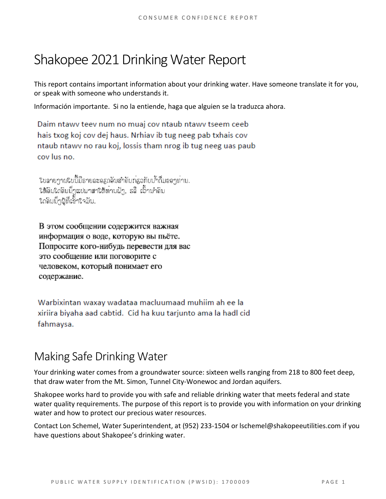# Shakopee 2021 Drinking Water Report

This report contains important information about your drinking water. Have someone translate it for you, or speak with someone who understands it.

Información importante. Si no la entiende, haga que alguien se la traduzca ahora.

Daim ntawy teey num no muaj cov ntaub ntawy tseem ceeb hais txog koj cov dej haus. Nrhiav ib tug neeg pab txhais cov ntaub ntawy no rau koj, lossis tham nrog ib tug neeg uas paub cov lus no.

ໃບລາຍງານໃບນີ້ມີຣາຍລະອຽດອິນສຳຄັນກ່ຽວກັບນ້ຳດື່ມຂອງທ່ານ. ໃຫ້ຄົນໃດຄົນນຶ່ງແປພາສາໃຫ້ທານຟັງ, ຣລື ເວົ້ານຳຄົນ ใดลิมมีๆผู้ที่เอ็้าใจมัน.

В этом сообщении содержится важная информация о воде, которую вы пьёте. Попросите кого-нибудь перевести для вас это сообщение или поговорите с человеком, который понимает его содержание.

Warbixintan waxay wadataa macluumaad muhiim ah ee la xiriira biyaha aad cabtid. Cid ha kuu tarjunto ama la hadl cid fahmaysa.

## Making Safe Drinking Water

Your drinking water comes from a groundwater source: sixteen wells ranging from 218 to 800 feet deep, that draw water from the Mt. Simon, Tunnel City-Wonewoc and Jordan aquifers.

Shakopee works hard to provide you with safe and reliable drinking water that meets federal and state water quality requirements. The purpose of this report is to provide you with information on your drinking water and how to protect our precious water resources.

Contact Lon Schemel, Water Superintendent, at (952) 233-1504 or lschemel@shakopeeutilities.com if you have questions about Shakopee's drinking water.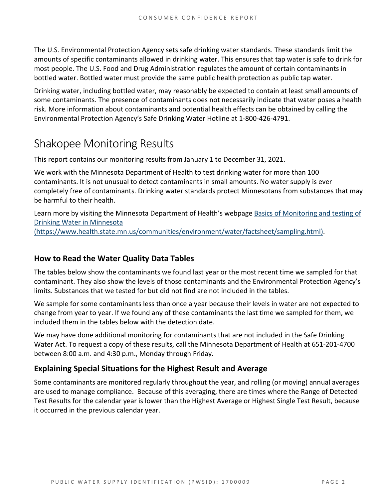The U.S. Environmental Protection Agency sets safe drinking water standards. These standards limit the amounts of specific contaminants allowed in drinking water. This ensures that tap water is safe to drink for most people. The U.S. Food and Drug Administration regulates the amount of certain contaminants in bottled water. Bottled water must provide the same public health protection as public tap water.

Drinking water, including bottled water, may reasonably be expected to contain at least small amounts of some contaminants. The presence of contaminants does not necessarily indicate that water poses a health risk. More information about contaminants and potential health effects can be obtained by calling the Environmental Protection Agency's Safe Drinking Water Hotline at 1-800-426-4791.

## Shakopee Monitoring Results

This report contains our monitoring results from January 1 to December 31, 2021.

We work with the Minnesota Department of Health to test drinking water for more than 100 contaminants. It is not unusual to detect contaminants in small amounts. No water supply is ever completely free of contaminants. Drinking water standards protect Minnesotans from substances that may be harmful to their health.

Learn more by visiting the Minnesota Department of Health's webpage [Basics of Monitoring and testing of](https://www.health.state.mn.us/communities/environment/water/factsheet/sampling.html)  [Drinking Water in Minnesota](https://www.health.state.mn.us/communities/environment/water/factsheet/sampling.html)  [\(https://www.health.state.mn.us/communities/environment/water/factsheet/sampling.html\).](https://www.health.state.mn.us/communities/environment/water/factsheet/sampling.html)

#### **How to Read the Water Quality Data Tables**

The tables below show the contaminants we found last year or the most recent time we sampled for that contaminant. They also show the levels of those contaminants and the Environmental Protection Agency's limits. Substances that we tested for but did not find are not included in the tables.

We sample for some contaminants less than once a year because their levels in water are not expected to change from year to year. If we found any of these contaminants the last time we sampled for them, we included them in the tables below with the detection date.

We may have done additional monitoring for contaminants that are not included in the Safe Drinking Water Act. To request a copy of these results, call the Minnesota Department of Health at 651-201-4700 between 8:00 a.m. and 4:30 p.m., Monday through Friday.

#### **Explaining Special Situations for the Highest Result and Average**

Some contaminants are monitored regularly throughout the year, and rolling (or moving) annual averages are used to manage compliance. Because of this averaging, there are times where the Range of Detected Test Results for the calendar year is lower than the Highest Average or Highest Single Test Result, because it occurred in the previous calendar year.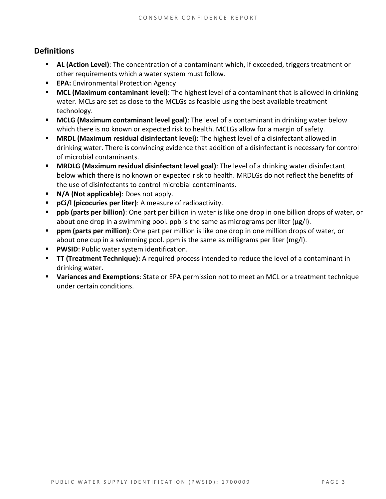#### **Definitions**

- **AL (Action Level)**: The concentration of a contaminant which, if exceeded, triggers treatment or other requirements which a water system must follow.
- **EPA:** Environmental Protection Agency
- **MCL (Maximum contaminant level)**: The highest level of a contaminant that is allowed in drinking water. MCLs are set as close to the MCLGs as feasible using the best available treatment technology.
- **MCLG (Maximum contaminant level goal)**: The level of a contaminant in drinking water below which there is no known or expected risk to health. MCLGs allow for a margin of safety.
- **MRDL (Maximum residual disinfectant level):** The highest level of a disinfectant allowed in drinking water. There is convincing evidence that addition of a disinfectant is necessary for control of microbial contaminants.
- **MRDLG (Maximum residual disinfectant level goal)**: The level of a drinking water disinfectant below which there is no known or expected risk to health. MRDLGs do not reflect the benefits of the use of disinfectants to control microbial contaminants.
- **N/A (Not applicable)**: Does not apply.
- **pCi/l (picocuries per liter)**: A measure of radioactivity.
- **ppb (parts per billion)**: One part per billion in water is like one drop in one billion drops of water, or about one drop in a swimming pool. ppb is the same as micrograms per liter (μg/l).
- **ppm (parts per million)**: One part per million is like one drop in one million drops of water, or about one cup in a swimming pool. ppm is the same as milligrams per liter (mg/l).
- **PWSID:** Public water system identification.
- **TT (Treatment Technique):** A required process intended to reduce the level of a contaminant in drinking water.
- **Variances and Exemptions**: State or EPA permission not to meet an MCL or a treatment technique under certain conditions.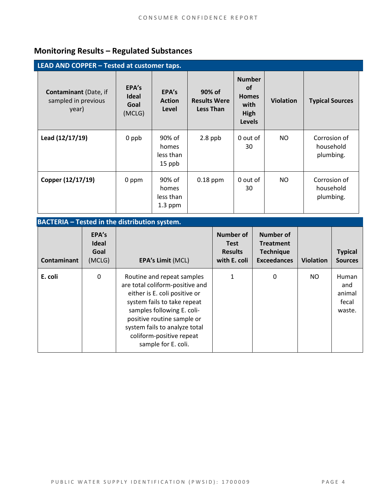### **Monitoring Results – Regulated Substances**

| LEAD AND COPPER - Tested at customer taps.                   |                                         |                                           |                                                   |                                                                             |                  |                                        |  |  |
|--------------------------------------------------------------|-----------------------------------------|-------------------------------------------|---------------------------------------------------|-----------------------------------------------------------------------------|------------------|----------------------------------------|--|--|
| <b>Contaminant</b> (Date, if<br>sampled in previous<br>year) | EPA's<br><b>Ideal</b><br>Goal<br>(MCLG) | EPA's<br><b>Action</b><br>Level           | 90% of<br><b>Results Were</b><br><b>Less Than</b> | <b>Number</b><br><b>of</b><br><b>Homes</b><br>with<br>High<br><b>Levels</b> | <b>Violation</b> | <b>Typical Sources</b>                 |  |  |
| Lead (12/17/19)                                              | 0 ppb                                   | 90% of<br>homes<br>less than<br>$15$ ppb  | $2.8$ ppb                                         | 0 out of<br>30                                                              | NO.              | Corrosion of<br>household<br>plumbing. |  |  |
| Copper (12/17/19)                                            | 0 ppm                                   | 90% of<br>homes<br>less than<br>$1.3$ ppm | $0.18$ ppm                                        | 0 out of<br>30                                                              | <b>NO</b>        | Corrosion of<br>household<br>plumbing. |  |  |

#### **BACTERIA – Tested in the distribution system.**

| <b>Contaminant</b> | EPA's<br><b>Ideal</b><br>Goal<br>(MCLG) | <b>EPA's Limit (MCL)</b>                                                                                                                                                                                                                                                      | Number of<br><b>Test</b><br><b>Results</b><br>with E. coli | Number of<br><b>Treatment</b><br><b>Technique</b><br><b>Exceedances</b> | <b>Violation</b> | <b>Typical</b><br><b>Sources</b>          |
|--------------------|-----------------------------------------|-------------------------------------------------------------------------------------------------------------------------------------------------------------------------------------------------------------------------------------------------------------------------------|------------------------------------------------------------|-------------------------------------------------------------------------|------------------|-------------------------------------------|
| E. coli            | 0                                       | Routine and repeat samples<br>are total coliform-positive and<br>either is E. coli positive or<br>system fails to take repeat<br>samples following E. coli-<br>positive routine sample or<br>system fails to analyze total<br>coliform-positive repeat<br>sample for E. coli. | 1                                                          | $\mathbf 0$                                                             | <b>NO</b>        | Human<br>and<br>animal<br>fecal<br>waste. |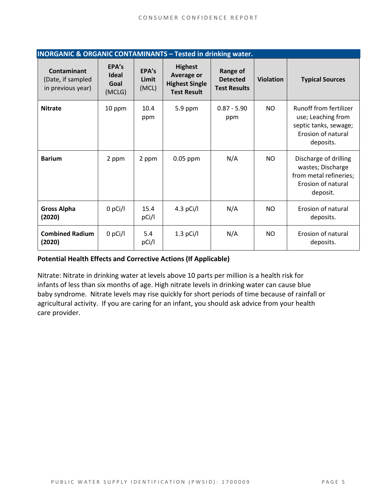| <b>INORGANIC &amp; ORGANIC CONTAMINANTS - Tested in drinking water.</b> |                                         |                         |                                                                                    |                                                           |                  |                                                                                                          |  |  |
|-------------------------------------------------------------------------|-----------------------------------------|-------------------------|------------------------------------------------------------------------------------|-----------------------------------------------------------|------------------|----------------------------------------------------------------------------------------------------------|--|--|
| <b>Contaminant</b><br>(Date, if sampled<br>in previous year)            | EPA's<br><b>Ideal</b><br>Goal<br>(MCLG) | EPA's<br>Limit<br>(MCL) | <b>Highest</b><br><b>Average or</b><br><b>Highest Single</b><br><b>Test Result</b> | <b>Range of</b><br><b>Detected</b><br><b>Test Results</b> | <b>Violation</b> | <b>Typical Sources</b>                                                                                   |  |  |
| <b>Nitrate</b>                                                          | 10 ppm                                  | 10.4<br>ppm             | $5.9$ ppm                                                                          | $0.87 - 5.90$<br>ppm                                      | NO.              | Runoff from fertilizer<br>use; Leaching from<br>septic tanks, sewage;<br>Erosion of natural<br>deposits. |  |  |
| <b>Barium</b>                                                           | 2 ppm                                   | 2 ppm                   | $0.05$ ppm                                                                         | N/A                                                       | NO.              | Discharge of drilling<br>wastes; Discharge<br>from metal refineries;<br>Erosion of natural<br>deposit.   |  |  |
| <b>Gross Alpha</b><br>(2020)                                            | $0$ pCi/l                               | 15.4<br>pCi/l           | 4.3 $pCi/I$                                                                        | N/A                                                       | NO.              | Erosion of natural<br>deposits.                                                                          |  |  |
| <b>Combined Radium</b><br>(2020)                                        | $0$ pCi/l                               | 5.4<br>pCi/l            | $1.3$ pCi/l                                                                        | N/A                                                       | NO.              | Erosion of natural<br>deposits.                                                                          |  |  |

#### **Potential Health Effects and Corrective Actions (If Applicable)**

Nitrate: Nitrate in drinking water at levels above 10 parts per million is a health risk for infants of less than six months of age. High nitrate levels in drinking water can cause blue baby syndrome. Nitrate levels may rise quickly for short periods of time because of rainfall or agricultural activity. If you are caring for an infant, you should ask advice from your health care provider.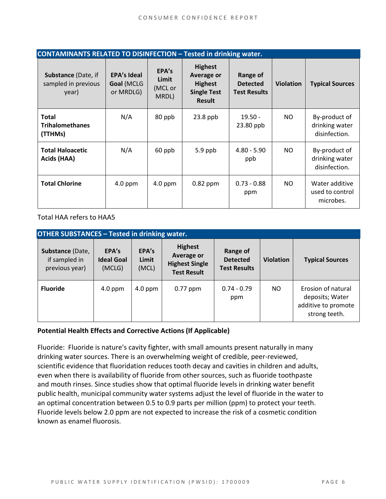| <b>CONTAMINANTS RELATED TO DISINFECTION - Tested in drinking water.</b> |                                               |                                    |                                                                                              |                                                    |                  |                                                  |  |  |  |
|-------------------------------------------------------------------------|-----------------------------------------------|------------------------------------|----------------------------------------------------------------------------------------------|----------------------------------------------------|------------------|--------------------------------------------------|--|--|--|
| Substance (Date, if<br>sampled in previous<br>year)                     | <b>EPA's Ideal</b><br>Goal (MCLG<br>or MRDLG) | EPA's<br>Limit<br>(MCL or<br>MRDL) | <b>Highest</b><br><b>Average or</b><br><b>Highest</b><br><b>Single Test</b><br><b>Result</b> | Range of<br><b>Detected</b><br><b>Test Results</b> | <b>Violation</b> | <b>Typical Sources</b>                           |  |  |  |
| <b>Total</b><br><b>Trihalomethanes</b><br>(TTHMs)                       | N/A                                           | 80 ppb                             | $23.8$ ppb                                                                                   | $19.50 -$<br>23.80 ppb                             | NO.              | By-product of<br>drinking water<br>disinfection. |  |  |  |
| <b>Total Haloacetic</b><br>Acids (HAA)                                  | N/A                                           | 60 ppb                             | $5.9$ ppb                                                                                    | $4.80 - 5.90$<br>ppb                               | NO.              | By-product of<br>drinking water<br>disinfection. |  |  |  |
| <b>Total Chlorine</b>                                                   | $4.0$ ppm                                     | $4.0$ ppm                          | $0.82$ ppm                                                                                   | $0.73 - 0.88$<br>ppm                               | NO.              | Water additive<br>used to control<br>microbes.   |  |  |  |

Total HAA refers to HAA5

| <b>OTHER SUBSTANCES - Tested in drinking water.</b> |                                      |                         |                                                                             |                                                    |                  |                                                                               |  |  |  |
|-----------------------------------------------------|--------------------------------------|-------------------------|-----------------------------------------------------------------------------|----------------------------------------------------|------------------|-------------------------------------------------------------------------------|--|--|--|
| Substance (Date,<br>if sampled in<br>previous year) | EPA's<br><b>Ideal Goal</b><br>(MCLG) | EPA's<br>Limit<br>(MCL) | <b>Highest</b><br>Average or<br><b>Highest Single</b><br><b>Test Result</b> | Range of<br><b>Detected</b><br><b>Test Results</b> | <b>Violation</b> | <b>Typical Sources</b>                                                        |  |  |  |
| <b>Fluoride</b>                                     | $4.0$ ppm                            | $4.0$ ppm               | $0.77$ ppm                                                                  | $0.74 - 0.79$<br>ppm                               | NO.              | Erosion of natural<br>deposits; Water<br>additive to promote<br>strong teeth. |  |  |  |

#### **Potential Health Effects and Corrective Actions (If Applicable)**

Fluoride: Fluoride is nature's cavity fighter, with small amounts present naturally in many drinking water sources. There is an overwhelming weight of credible, peer-reviewed, scientific evidence that fluoridation reduces tooth decay and cavities in children and adults, even when there is availability of fluoride from other sources, such as fluoride toothpaste and mouth rinses. Since studies show that optimal fluoride levels in drinking water benefit public health, municipal community water systems adjust the level of fluoride in the water to an optimal concentration between 0.5 to 0.9 parts per million (ppm) to protect your teeth. Fluoride levels below 2.0 ppm are not expected to increase the risk of a cosmetic condition known as enamel fluorosis.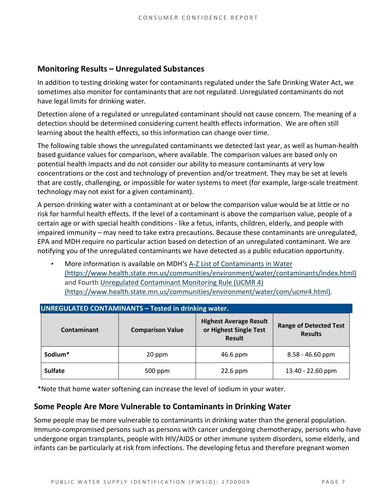#### **Monitoring Results – Unregulated Substances**

In addition to testing drinking water for contaminants regulated under the Safe Drinking Water Act, we sometimes also monitor for contaminants that are not regulated. Unregulated contaminants do not have legal limits for drinking water.

Detection alone of a regulated or unregulated contaminant should not cause concern. The meaning of a detection should be determined considering current health effects information. We are often still learning about the health effects, so this information can change over time.

The following table shows the unregulated contaminants we detected last year, as well as human-health based guidance values for comparison, where available. The comparison values are based only on potential health impacts and do not consider our ability to measure contaminants at very low concentrations or the cost and technology of prevention and/or treatment. They may be set at levels that are costly, challenging, or impossible for water systems to meet (for example, large-scale treatment technology may not exist for a given contaminant).

A person drinking water with a contaminant at or below the comparison value would be at little or no risk for harmful health effects. If the level of a contaminant is above the comparison value, people of a certain age or with special health conditions - like a fetus, infants, children, elderly, and people with impaired immunity – may need to take extra precautions. Because these contaminants are unregulated, EPA and MDH require no particular action based on detection of an unregulated contaminant. We are notifying you of the unregulated contaminants we have detected as a public education opportunity.

More information is available on MDH's A-Z List of Contaminants in Water [\(https://www.health.state.mn.us/communities/environment/water/contaminants/index.html\)](https://www.health.state.mn.us/communities/environment/water/contaminants/index.html) and Fourth [Unregulated Contaminant Monitoring Rule \(UCMR 4\)](https://www.health.state.mn.us/communities/environment/water/com/ucmr4.html)  [\(https://www.health.state.mn.us/communities/environment/water/com/ucmr4.html\).](https://www.health.state.mn.us/communities/environment/water/com/ucmr4.html)

| <b>UNREGULATED CONTAMINANTS - Tested in drinking water.</b> |                         |                                                                          |                                                 |  |  |  |  |  |
|-------------------------------------------------------------|-------------------------|--------------------------------------------------------------------------|-------------------------------------------------|--|--|--|--|--|
| Contaminant                                                 | <b>Comparison Value</b> | <b>Highest Average Result</b><br>or Highest Single Test<br><b>Result</b> | <b>Range of Detected Test</b><br><b>Results</b> |  |  |  |  |  |
| Sodium*                                                     | 20 ppm                  | 46.6 ppm                                                                 | $8.58 - 46.60$ ppm                              |  |  |  |  |  |
| <b>Sulfate</b>                                              | 500 ppm                 | $22.6$ ppm                                                               | 13.40 - 22.60 ppm                               |  |  |  |  |  |

\*Note that home water softening can increase the level of sodium in your water.

#### **Some People Are More Vulnerable to Contaminants in Drinking Water**

Some people may be more vulnerable to contaminants in drinking water than the general population. Immuno-compromised persons such as persons with cancer undergoing chemotherapy, persons who have undergone organ transplants, people with HIV/AIDS or other immune system disorders, some elderly, and infants can be particularly at risk from infections. The developing fetus and therefore pregnant women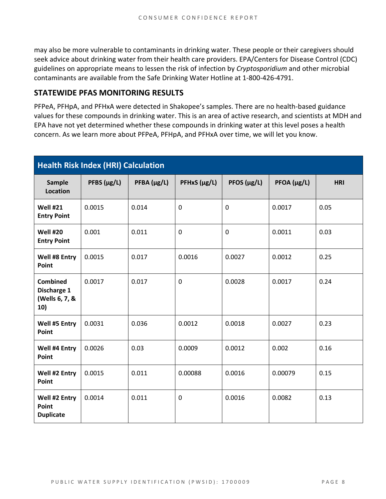may also be more vulnerable to contaminants in drinking water. These people or their caregivers should seek advice about drinking water from their health care providers. EPA/Centers for Disease Control (CDC) guidelines on appropriate means to lessen the risk of infection by *Cryptosporidium* and other microbial contaminants are available from the Safe Drinking Water Hotline at 1-800-426-4791.

#### **STATEWIDE PFAS MONITORING RESULTS**

PFPeA, PFHpA, and PFHxA were detected in Shakopee's samples. There are no health-based guidance values for these compounds in drinking water. This is an area of active research, and scientists at MDH and EPA have not yet determined whether these compounds in drinking water at this level poses a health concern. As we learn more about PFPeA, PFHpA, and PFHxA over time, we will let you know.

| <b>Health Risk Index (HRI) Calculation</b>              |                  |             |              |                  |             |            |  |  |
|---------------------------------------------------------|------------------|-------------|--------------|------------------|-------------|------------|--|--|
| <b>Sample</b><br>Location                               | PFBS $(\mu g/L)$ | PFBA (µg/L) | PFHxS (µg/L) | PFOS $(\mu g/L)$ | PFOA (µg/L) | <b>HRI</b> |  |  |
| <b>Well #21</b><br><b>Entry Point</b>                   | 0.0015           | 0.014       | 0            | $\mathbf 0$      | 0.0017      | 0.05       |  |  |
| Well #20<br><b>Entry Point</b>                          | 0.001            | 0.011       | 0            | $\mathbf 0$      | 0.0011      | 0.03       |  |  |
| Well #8 Entry<br>Point                                  | 0.0015           | 0.017       | 0.0016       | 0.0027           | 0.0012      | 0.25       |  |  |
| <b>Combined</b><br>Discharge 1<br>(Wells 6, 7, &<br>10) | 0.0017           | 0.017       | 0            | 0.0028           | 0.0017      | 0.24       |  |  |
| Well #5 Entry<br>Point                                  | 0.0031           | 0.036       | 0.0012       | 0.0018           | 0.0027      | 0.23       |  |  |
| Well #4 Entry<br>Point                                  | 0.0026           | 0.03        | 0.0009       | 0.0012           | 0.002       | 0.16       |  |  |
| Well #2 Entry<br>Point                                  | 0.0015           | 0.011       | 0.00088      | 0.0016           | 0.00079     | 0.15       |  |  |
| Well #2 Entry<br>Point<br><b>Duplicate</b>              | 0.0014           | 0.011       | 0            | 0.0016           | 0.0082      | 0.13       |  |  |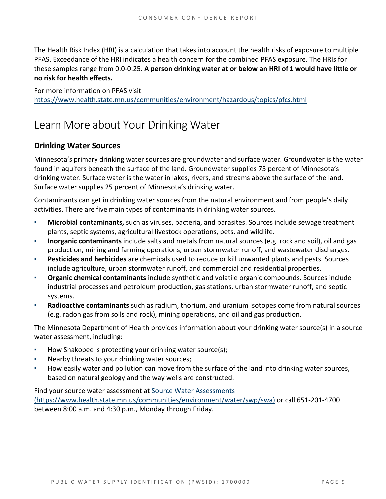The Health Risk Index (HRI) is a calculation that takes into account the health risks of exposure to multiple PFAS. Exceedance of the HRI indicates a health concern for the combined PFAS exposure. The HRIs for these samples range from 0.0-0.25. **A person drinking water at or below an HRI of 1 would have little or no risk for health effects.**

For more information on PFAS visit <https://www.health.state.mn.us/communities/environment/hazardous/topics/pfcs.html>

# Learn More about Your Drinking Water

#### **Drinking Water Sources**

Minnesota's primary drinking water sources are groundwater and surface water. Groundwater is the water found in aquifers beneath the surface of the land. Groundwater supplies 75 percent of Minnesota's drinking water. Surface water is the water in lakes, rivers, and streams above the surface of the land. Surface water supplies 25 percent of Minnesota's drinking water.

Contaminants can get in drinking water sources from the natural environment and from people's daily activities. There are five main types of contaminants in drinking water sources.

- **Microbial contaminants,** such as viruses, bacteria, and parasites. Sources include sewage treatment plants, septic systems, agricultural livestock operations, pets, and wildlife.
- **Inorganic contaminants** include salts and metals from natural sources (e.g. rock and soil), oil and gas production, mining and farming operations, urban stormwater runoff, and wastewater discharges.
- **Pesticides and herbicides** are chemicals used to reduce or kill unwanted plants and pests. Sources include agriculture, urban stormwater runoff, and commercial and residential properties.
- **Organic chemical contaminants** include synthetic and volatile organic compounds. Sources include industrial processes and petroleum production, gas stations, urban stormwater runoff, and septic systems.
- **Radioactive contaminants** such as radium, thorium, and uranium isotopes come from natural sources (e.g. radon gas from soils and rock), mining operations, and oil and gas production.

The Minnesota Department of Health provides information about your drinking water source(s) in a source water assessment, including:

- How Shakopee is protecting your drinking water source(s);
- Nearby threats to your drinking water sources;
- How easily water and pollution can move from the surface of the land into drinking water sources, based on natural geology and the way wells are constructed.

Find your source water assessment at Source Water Assessments [\(https://www.health.state.mn.us/communities/environment/water/swp/swa\)](https://www.health.state.mn.us/communities/environment/water/swp/swa) or call 651-201-4700 between 8:00 a.m. and 4:30 p.m., Monday through Friday.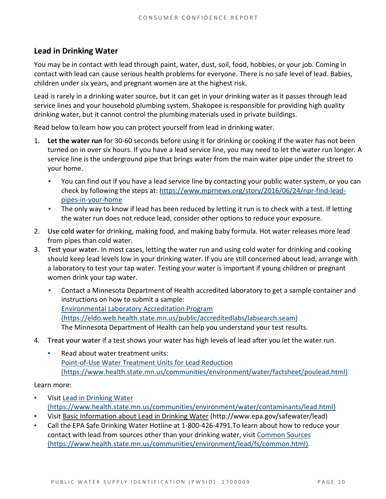#### **Lead in Drinking Water**

You may be in contact with lead through paint, water, dust, soil, food, hobbies, or your job. Coming in contact with lead can cause serious health problems for everyone. There is no safe level of lead. Babies, children under six years, and pregnant women are at the highest risk.

Lead is rarely in a drinking water source, but it can get in your drinking water as it passes through lead service lines and your household plumbing system. Shakopee is responsible for providing high quality drinking water, but it cannot control the plumbing materials used in private buildings.

Read below to learn how you can protect yourself from lead in drinking water.

- 1. **Let the water run** for 30-60 seconds before using it for drinking or cooking if the water has not been turned on in over six hours. If you have a lead service line, you may need to let the water run longer. A service line is the underground pipe that brings water from the main water pipe under the street to your home.
	- You can find out if you have a lead service line by contacting your public water system, or you can check by following the steps at: [https://www.mprnews.org/story/2016/06/24/npr-find-lead](https://www.mprnews.org/story/2016/06/24/npr-find-lead-pipes-in-your-home)[pipes-in-your-home](https://www.mprnews.org/story/2016/06/24/npr-find-lead-pipes-in-your-home)
	- The only way to know if lead has been reduced by letting it run is to check with a test. If letting the water run does not reduce lead, consider other options to reduce your exposure.
- 2. **Use cold water** for drinking, making food, and making baby formula. Hot water releases more lead from pipes than cold water.
- 3. **Test your water.** In most cases, letting the water run and using cold water for drinking and cooking should keep lead levels low in your drinking water. If you are still concerned about lead, arrange with a laboratory to test your tap water. Testing your water is important if young children or pregnant women drink your tap water.
	- Contact a Minnesota Department of Health accredited laboratory to get a sample container and instructions on how to submit a sample: [Environmental Laboratory Accreditation Program](https://eldo.web.health.state.mn.us/public/accreditedlabs/labsearch.seam)  [\(https://eldo.web.health.state.mn.us/public/accreditedlabs/labsearch.seam\)](https://eldo.web.health.state.mn.us/public/accreditedlabs/labsearch.seam)  The Minnesota Department of Health can help you understand your test results.
- 4. **Treat your water** if a test shows your water has high levels of lead after you let the water run.
	- Read about water treatment units: [Point-of-Use Water Treatment Units for Lead Reduction](https://www.health.state.mn.us/communities/environment/water/factsheet/poulead.html)  [\(https://www.health.state.mn.us/communities/environment/water/factsheet/poulead.html\)](https://www.health.state.mn.us/communities/environment/water/factsheet/poulead.html)

Learn more:

- Visit Lead in Drinking Water [\(https://www.health.state.mn.us/communities/environment/water/contaminants/lead.html\)](https://www.health.state.mn.us/communities/environment/water/contaminants/lead.html)
- Visit Basic Information about Lead in Drinking Water [\(http://www.epa.gov/safewater/lead\)](http://www.epa.gov/safewater/lead)
- Call the EPA Safe Drinking Water Hotline at 1-800-426-4791.To learn about how to reduce your contact with lead from sources other than your drinking water, visi[t Common Sources](https://www.health.state.mn.us/communities/environment/lead/fs/common.html)  [\(https://www.health.state.mn.us/communities/environment/lead/fs/common.html\).](https://www.health.state.mn.us/communities/environment/lead/fs/common.html)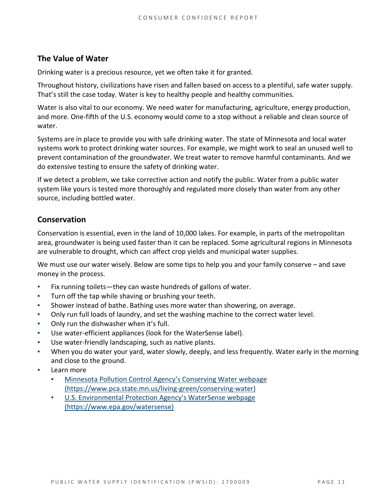#### **The Value of Water**

Drinking water is a precious resource, yet we often take it for granted.

Throughout history, civilizations have risen and fallen based on access to a plentiful, safe water supply. That's still the case today. Water is key to healthy people and healthy communities.

Water is also vital to our economy. We need water for manufacturing, agriculture, energy production, and more. One-fifth of the U.S. economy would come to a stop without a reliable and clean source of water.

Systems are in place to provide you with safe drinking water. The state of Minnesota and local water systems work to protect drinking water sources. For example, we might work to seal an unused well to prevent contamination of the groundwater. We treat water to remove harmful contaminants. And we do extensive testing to ensure the safety of drinking water.

If we detect a problem, we take corrective action and notify the public. Water from a public water system like yours is tested more thoroughly and regulated more closely than water from any other source, including bottled water.

#### **Conservation**

Conservation is essential, even in the land of 10,000 lakes. For example, in parts of the metropolitan area, groundwater is being used faster than it can be replaced. Some agricultural regions in Minnesota are vulnerable to drought, which can affect crop yields and municipal water supplies.

We must use our water wisely. Below are some tips to help you and your family conserve – and save money in the process.

- Fix running toilets—they can waste hundreds of gallons of water.
- Turn off the tap while shaving or brushing your teeth.
- Shower instead of bathe. Bathing uses more water than showering, on average.
- Only run full loads of laundry, and set the washing machine to the correct water level.
- Only run the dishwasher when it's full.
- Use water-efficient appliances (look for the WaterSense label).
- Use water-friendly landscaping, such as native plants.
- When you do water your yard, water slowly, deeply, and less frequently. Water early in the morning and close to the ground.
- Learn more
	- Minnesota Pollution Control Agency's Conserving Water webpage [\(https://www.pca.state.mn.us/living-green/conserving-water\)](https://www.pca.state.mn.us/living-green/conserving-water)
	- [U.S. Environmental Protection Agency's WaterSense webpage](https://www.epa.gov/watersense)  [\(https://www.epa.gov/watersense\)](https://www.epa.gov/watersense)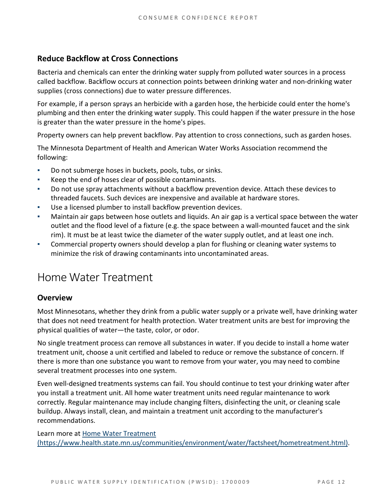#### **Reduce Backflow at Cross Connections**

Bacteria and chemicals can enter the drinking water supply from polluted water sources in a process called backflow. Backflow occurs at connection points between drinking water and non-drinking water supplies (cross connections) due to water pressure differences.

For example, if a person sprays an herbicide with a garden hose, the herbicide could enter the home's plumbing and then enter the drinking water supply. This could happen if the water pressure in the hose is greater than the water pressure in the home's pipes.

Property owners can help prevent backflow. Pay attention to cross connections, such as garden hoses.

The Minnesota Department of Health and American Water Works Association recommend the following:

- Do not submerge hoses in buckets, pools, tubs, or sinks.
- Keep the end of hoses clear of possible contaminants.
- Do not use spray attachments without a backflow prevention device. Attach these devices to threaded faucets. Such devices are inexpensive and available at hardware stores.
- Use a licensed plumber to install backflow prevention devices.
- Maintain air gaps between hose outlets and liquids. An air gap is a vertical space between the water outlet and the flood level of a fixture (e.g. the space between a wall-mounted faucet and the sink rim). It must be at least twice the diameter of the water supply outlet, and at least one inch.
- Commercial property owners should develop a plan for flushing or cleaning water systems to minimize the risk of drawing contaminants into uncontaminated areas.

### Home Water Treatment

#### **Overview**

Most Minnesotans, whether they drink from a public water supply or a private well, have drinking water that does not need treatment for health protection. Water treatment units are best for improving the physical qualities of water—the taste, color, or odor.

No single treatment process can remove all substances in water. If you decide to install a home water treatment unit, choose a unit certified and labeled to reduce or remove the substance of concern. If there is more than one substance you want to remove from your water, you may need to combine several treatment processes into one system.

Even well-designed treatments systems can fail. You should continue to test your drinking water after you install a treatment unit. All home water treatment units need regular maintenance to work correctly. Regular maintenance may include changing filters, disinfecting the unit, or cleaning scale buildup. Always install, clean, and maintain a treatment unit according to the manufacturer's recommendations.

Learn more at [Home Water Treatment](https://www.health.state.mn.us/communities/environment/water/factsheet/hometreatment.html)  [\(https://www.health.state.mn.us/communities/environment/water/factsheet/hometreatment.html\).](https://www.health.state.mn.us/communities/environment/water/factsheet/hometreatment.html)